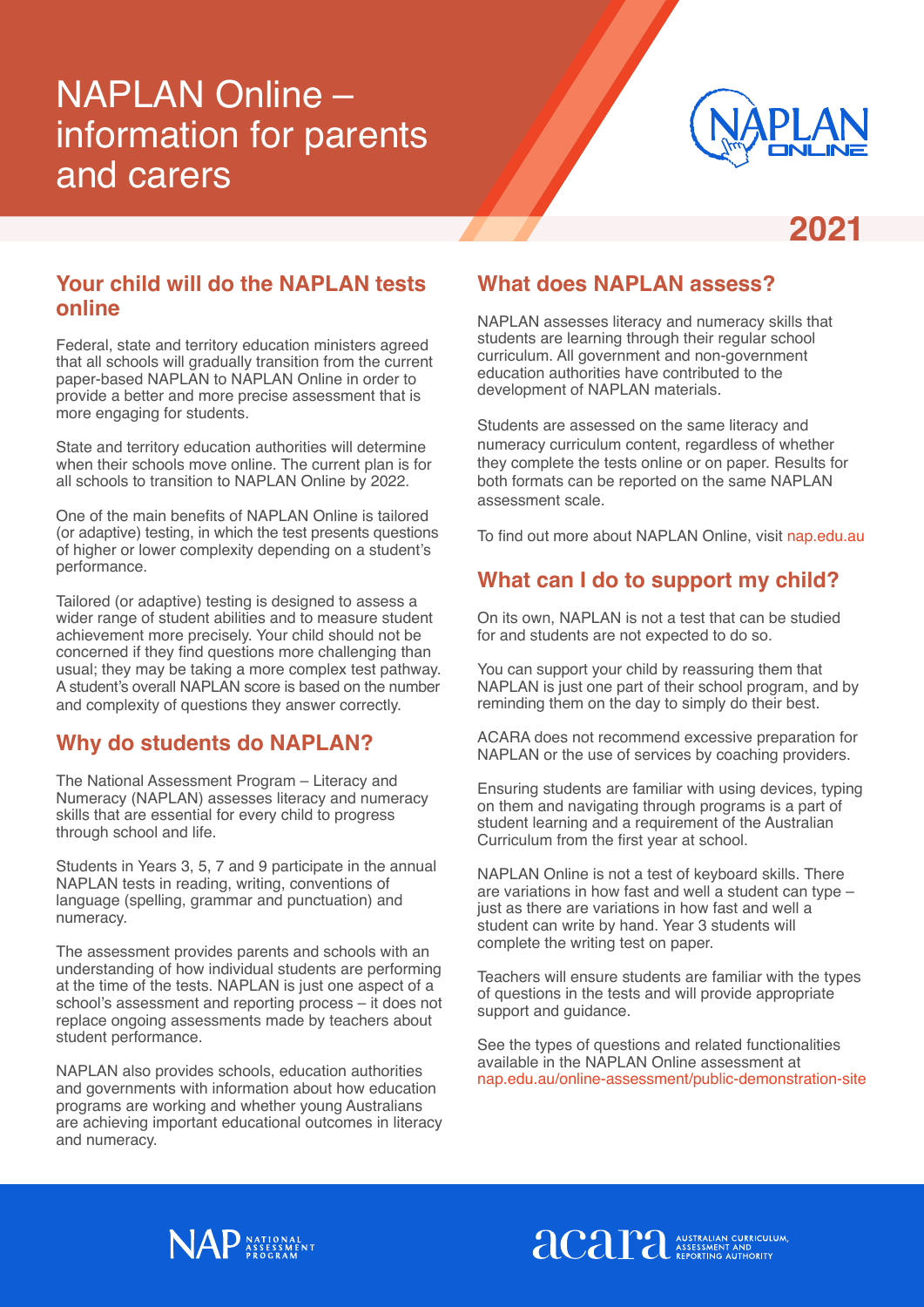# NAPLAN Online – information for parents and carers



## **2021**

#### **Your child will do the NAPLAN tests online**

Federal, state and territory education ministers agreed that all schools will gradually transition from the current paper-based NAPLAN to NAPLAN Online in order to provide a better and more precise assessment that is more engaging for students.

State and territory education authorities will determine when their schools move online. The current plan is for all schools to transition to NAPLAN Online by 2022.

One of the main benefits of NAPLAN Online is tailored (or adaptive) testing, in which the test presents questions of higher or lower complexity depending on a student's performance.

Tailored (or adaptive) testing is designed to assess a wider range of student abilities and to measure student achievement more precisely. Your child should not be concerned if they find questions more challenging than usual; they may be taking a more complex test pathway. A student's overall NAPLAN score is based on the number and complexity of questions they answer correctly.

#### **Why do students do NAPLAN?**

The National Assessment Program – Literacy and Numeracy (NAPLAN) assesses literacy and numeracy skills that are essential for every child to progress through school and life.

Students in Years 3, 5, 7 and 9 participate in the annual NAPLAN tests in reading, writing, conventions of language (spelling, grammar and punctuation) and numeracy.

The assessment provides parents and schools with an understanding of how individual students are performing at the time of the tests. NAPLAN is just one aspect of a school's assessment and reporting process – it does not replace ongoing assessments made by teachers about student performance.

NAPLAN also provides schools, education authorities and governments with information about how education programs are working and whether young Australians are achieving important educational outcomes in literacy and numeracy.

### **What does NAPLAN assess?**

NAPLAN assesses literacy and numeracy skills that students are learning through their regular school curriculum. All government and non-government education authorities have contributed to the development of NAPLAN materials.

Students are assessed on the same literacy and numeracy curriculum content, regardless of whether they complete the tests online or on paper. Results for both formats can be reported on the same NAPLAN assessment scale.

To find out more about NAPLAN Online, visit nap.edu.au

## **What can I do to support my child?**

On its own, NAPLAN is not a test that can be studied for and students are not expected to do so.

You can support your child by reassuring them that NAPLAN is just one part of their school program, and by reminding them on the day to simply do their best.

ACARA does not recommend excessive preparation for NAPLAN or the use of services by coaching providers.

Ensuring students are familiar with using devices, typing on them and navigating through programs is a part of student learning and a requirement of the Australian Curriculum from the first year at school.

NAPLAN Online is not a test of keyboard skills. There are variations in how fast and well a student can type – just as there are variations in how fast and well a student can write by hand. Year 3 students will complete the writing test on paper.

Teachers will ensure students are familiar with the types of questions in the tests and will provide appropriate support and guidance.

See the types of questions and related functionalities available in the NAPLAN Online assessment at nap.edu.au/online-assessment/public-demonstration-site